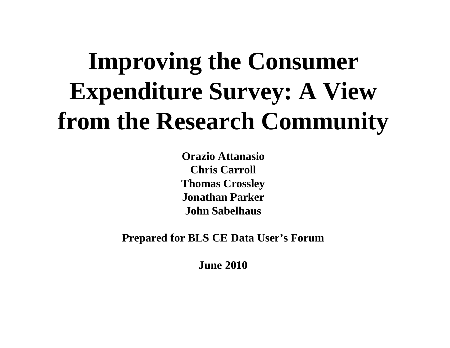# **Improving the Consumer Improving Expenditure Survey: A View from the Research Community**

**Orazio AttanasioChris Carroll Thomas Crossley Jonathan ParkerJohn Sabelhaus**

**Prepared for BLS CE Data User for s' Forum**

**June 2010**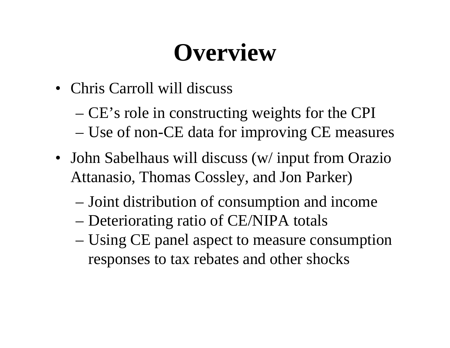## **Overview**

- Chris Carroll will discuss
	- $-$  CE's role in constructing weights for the CPI
	- Use of non-CE data for improving CE measures
- John Sabelhaus will discuss (w/ input from Orazio Attanasio, Thomas Cossley, and Jon Parker)
	- Joint distribution of consumption and income
	- Deteriorating ratio of CE/NIPA totals
	- Using CE panel aspec<sup>t</sup> to measure consumption responses to tax rebates and other shocks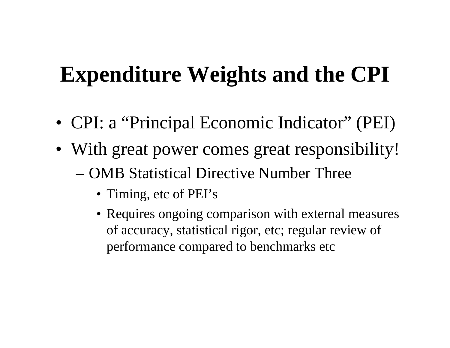### **Expenditure Weights and the CPI**

- CPI: a "Principal Economic Indicator" (PEI)
- With great power comes great responsibility!
	- OMB Statistical Directive Number Three
		- Timing, etc of PEI's
		- Requires ongoing comparison with external measures of accuracy, statistical rigor, etc; regular review of performance compared to benchmarks etc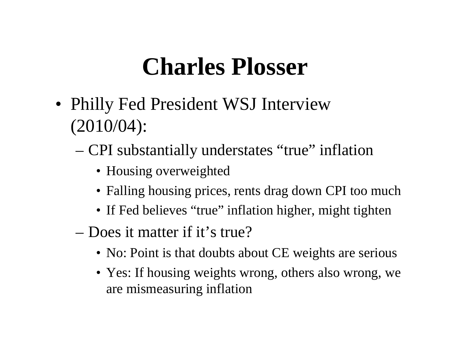### **Charles Plosser**

- Philly Fed President WSJ Interview (2010/04):
	- CPI substantially understates "true" inflation
		- Housing overweighted
		- Falling housing prices, rents drag down CPI too much
		- If Fed believes "true" inflation higher, might tighten
	- Does it matter if it's true?
		- No: Point is that doubts about CE weights are serious
		- Yes: If housing weights wrong, others also wrong, we are mismeasuring inflation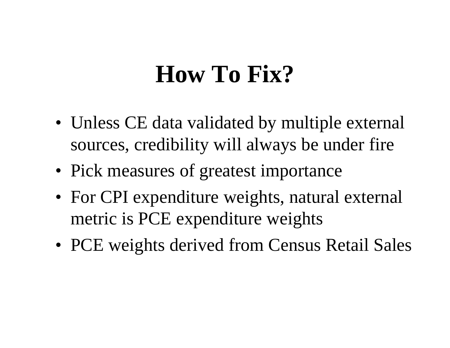### **How To Fix?**

- Unless CE data validated by multiple external sources, credibility will always be under fire
- Pick measures of greatest importance
- For CPI expenditure weights, natural external metric is PCE expenditure weights
- PCE weights derived from Census Retail Sales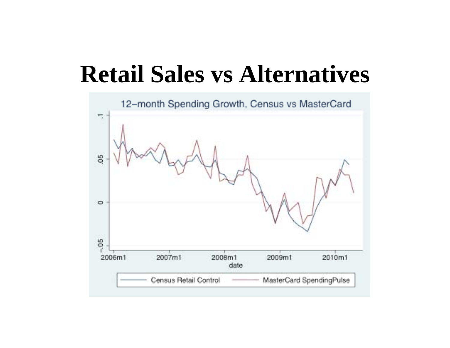### **Retail Sales vs Alternatives**

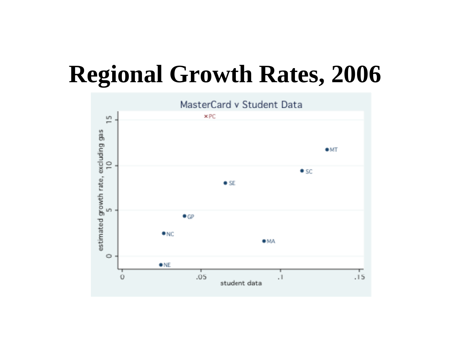### **Regional Growth Rates, 2006**

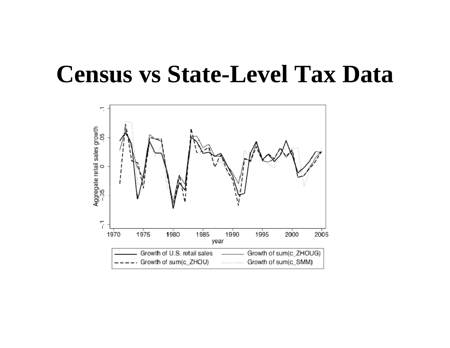### **Census vs State-Level Tax Data**

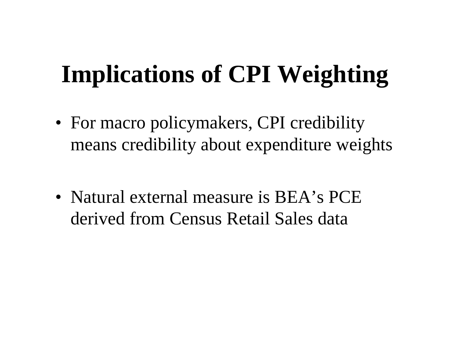## **Implications of CPI Weighting**

- For macro policymakers, CPI credibility means credibility about expenditure weights
- Natural external measure is  $BEA$ 's PCE derived from Census Retail Sales data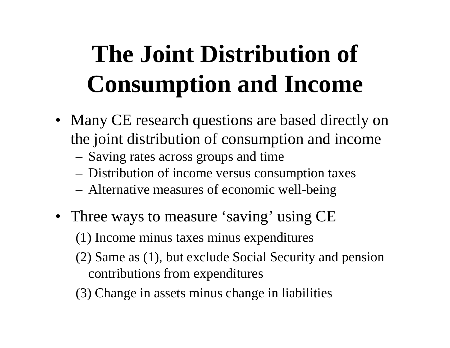# **The Joint Distribution of Consumption and Income**

- Many CE research questions are based directly on the joint distribution of consumption and income
	- Saving rates across groups and time
	- –Distribution of income versus consumption taxes
	- Alternative measures of economic well-bein g
- Three ways to measure 'saving' using CE
	- (1) Income minus taxes minus expenditures
	- (2) Same as (1), but exclude Social Security and pension contributions from expenditures
	- (3) Change in assets minus change in liabilities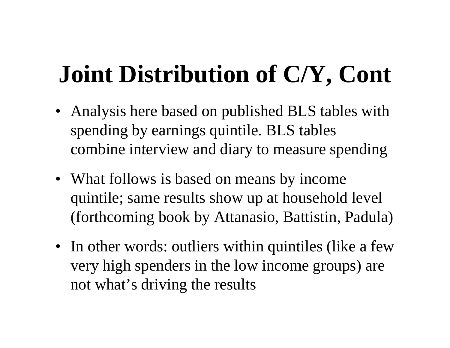# **Joint Distribution of C/Y, Cont**

- Analysis here based on published BLS tables with spending by earnings quintile. BLS tables combine interview and diary to measure spending
- What follows is based on means by income quintile; same results show up at household level (forthcoming book by Attanasio, Battistin, Padula)
- In other words: outliers within quintiles (like a few very high spenders in the low income groups) are not what's driving the results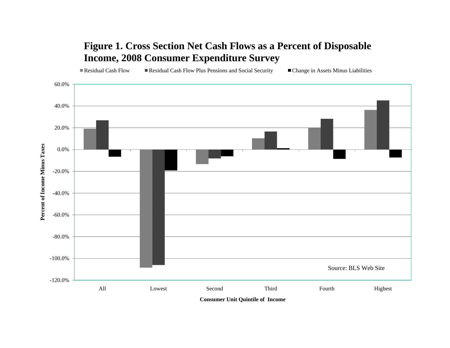#### **Figure 1. Cross Section Net Cash Flows as a Percent of Disposable Income, 2008 Consumer Expenditure Survey**

Residual Cash Flow Residual Cash Flow Plus Pensions and Social Security Change in Assets Minus Liabilities

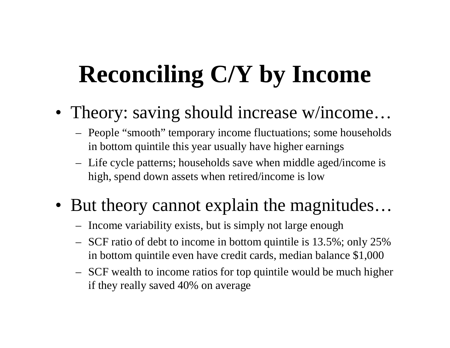# **Reconciling C/Y by Income**

- Theory: saving should increase w/income...
	- People "smooth" temporary income fluctuations; some households in bottom quintile this year usually have higher earnings
	- Life cycle patterns; households save when middle aged/income is high, spend down assets when retired/income is low
- But theor y cannot explain the ma gnitudes…
	- Income variability exists, but is simply not large enough
	- $-$  SCF ratio of debt to income in bottom quintile is 13.5%; only 25% in bottom quintile even have credit cards, median balance \$1,000
	- SCF wealth to income ratios for top quintile would be much higher if they really saved 40% on average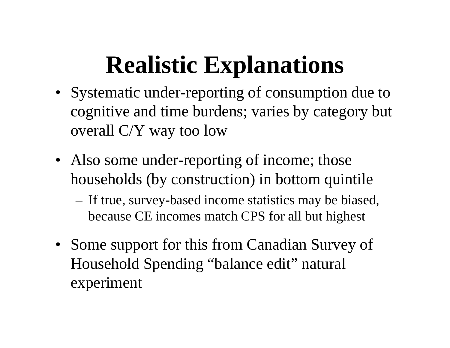# **Realistic Explanations**

- Systematic under-reporting of consumption due to cognitive and time burdens; varies by category but overall C/Y way too low
- Also some under-reporting of income; those households (by construction) in bottom quintile
	- –- If true, survey-based income statistics may be biased, because CE incomes match CPS for all but highest
- Some support for this from Canadian Survey of Household Spending "balance edit" natural experiment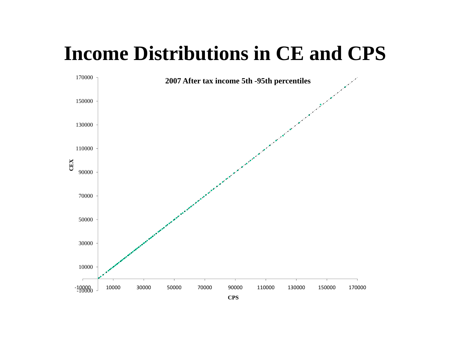### **Income Distributions in CE and CPS**

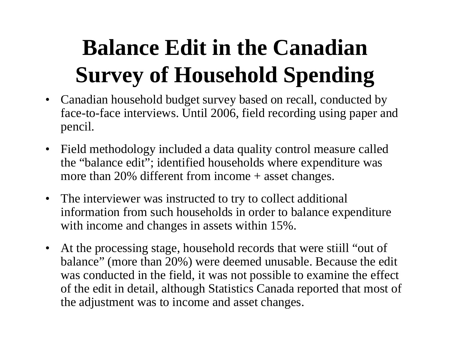### **Balance Edit in the Canadian Survey of Household Spending**

- Canadian household budget survey based on recall, conducted by face-to-face interviews. Until 2006, field recordin g usin g paper and pencil.
- $\bullet$  Field methodology included <sup>a</sup> data quality control measure called the "balance edit"; identified households where expenditure was more than 20% different from income + asset changes.
- The interviewer was instructed to try to collect additional information from such households in order to balance expenditure with income and changes in assets within 15%.
- $\bullet$  At the processing stage, household records that were stiill "out of balance" (more than 20%) were deemed unusable. Because the edit was conducted in the field, it was not possible to examine the effect of the edit in detail, althou gh Statistics Canada reported that most of the adjustment was to income and asset changes.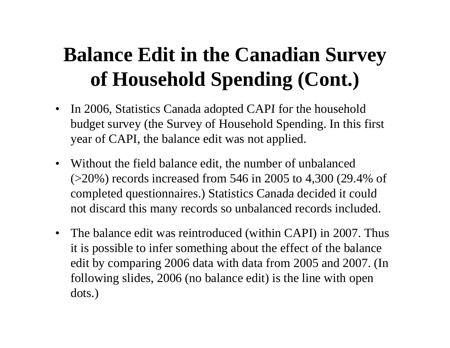### **Balance Edit in the Canadian Surve y of Household Spending (Cont.)**

- •In 2006, Statistics Canada adopted CAPI for the household budget survey (the Survey of Household Spending. In this first year of CAPI, the balance edit was not applied.
- $\bullet$  Without the field balance edit, the number of unbalanced (>20%) records increased from 546 in 2005 to 4,300 (29.4% of completed questionnaires.) Statistics Canada decided it could not discard this many records so unbalanced records included.
- The balance edit was reintroduced (within CAPI) in 2007. Thus it is possible to infer something about the effect of the balance edit by comparing 2006 data with data from 2005 and 2007. (In following slides, 2006 (no balance edit) is the line with open dots.)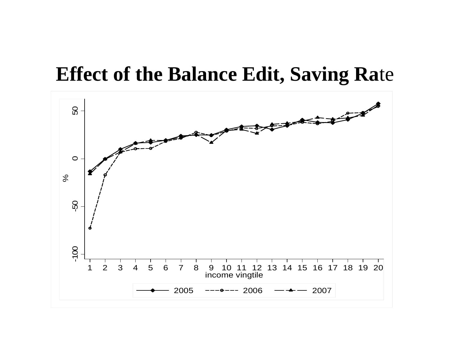### **Effect of the Balance Edit, Saving Ra**te

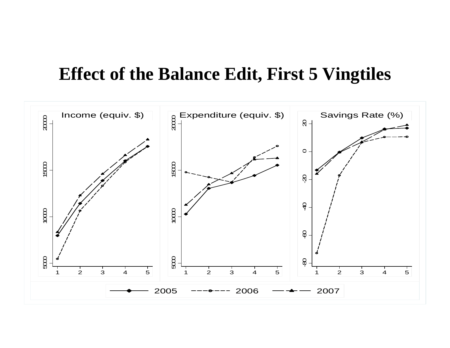#### **Effect of the Balance Edit, First 5 Vingtiles**

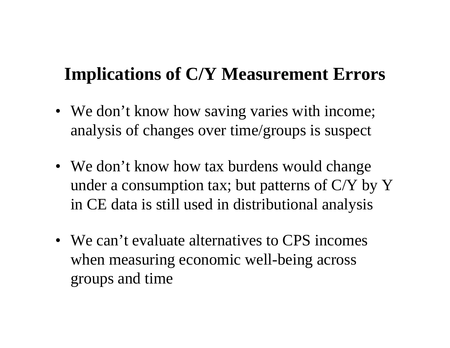### **Implications of C/Y Measurement Errors**

- We don't know how saving varies with income; analysis of changes over time/groups is suspect
- We don't know how tax burdens would change under a consumption tax; but patterns of  $C/Y$  by Y in CE data is still used in distributional analysis
- We can't evaluate alternatives to CPS incomes when measuring economic well-being across groups and time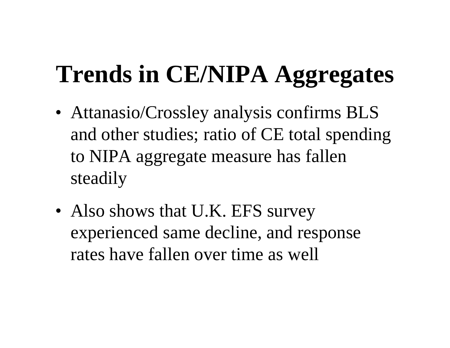# **Trends in CE/NIPA Aggregates**

- Attanasio/Crossley analysis confirms BLS and other studies; ratio of CE total spending to NIPA aggregate measure has fallen steadily
- Also shows that U.K. EFS survey experienced same decline, and response rates have fallen over time as well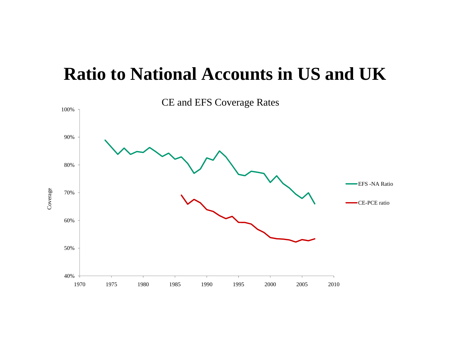#### **Ratio to National Accounts in US and UK**

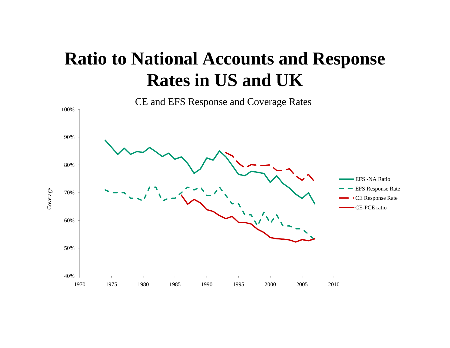### **Ratio to National Accounts and Response Rates in US and UK**

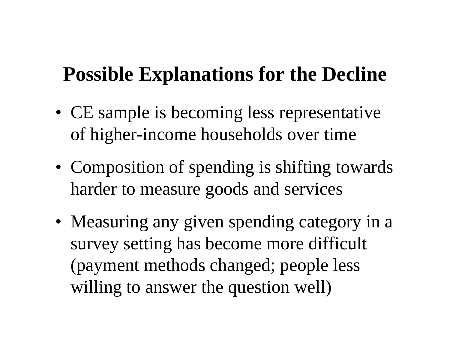### **Possible Explanations for the Decline**

- CE sample is becoming less representative of higher-income households over time
- Composition of spending is shifting towards harder to measure goods and services
- Measuring any given spending category in a survey setting has become more difficult (payment methods changed; people less willing to answer the question well)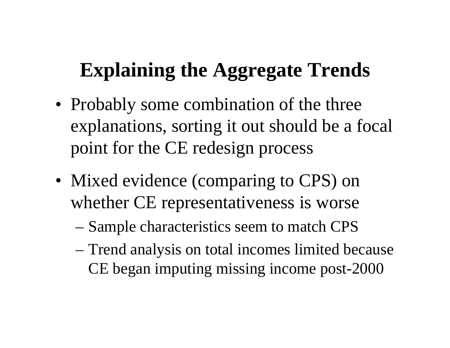### **Explaining the Aggregate Trends**

- Probably some combination of the three explanations, sorting it out should be a focal point for the CE redesign process
- Mixed evidence (comparing to CPS) on whether CE representativeness is worse
	- Sample characteristics seem to match CPS
	- Trend analysis on total incomes limited because CE began imputing missing income post-2000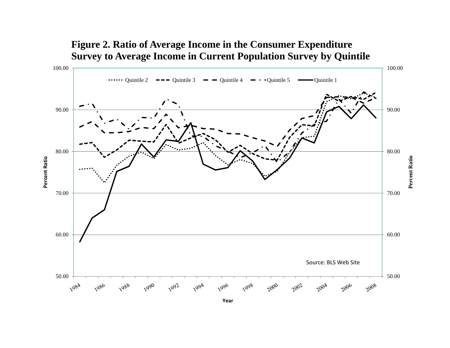

#### **Figure 2. Ratio of Average Income in the Consumer Expenditure Survey to Average Income in Current Population Survey by Quintile**

**Year**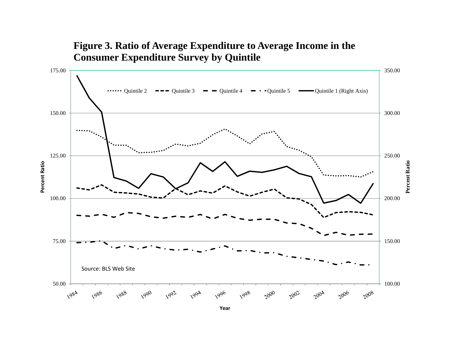#### **Figure 3. Ratio of Average Expenditure to Average Income in the Consumer Expenditure Survey by Quintile**



**Year**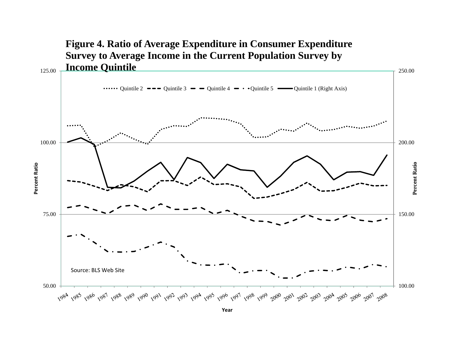

**Year**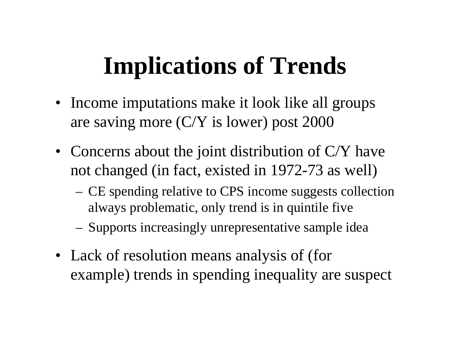## **Implications of Trends**

- Income imputations make it look like all groups are saving more (C/Y is lower) post 2000
- Concerns about the joint distribution of  $C/Y$  have not changed (in fact, existed in 1972-73 as well)
	- CE spending relative to CPS income suggests collection always problematic, only trend is in quintile five
	- –Supports increasingly unrepresentative sample idea
- Lack of resolution means analysis of (for example) trends in spending inequality are suspect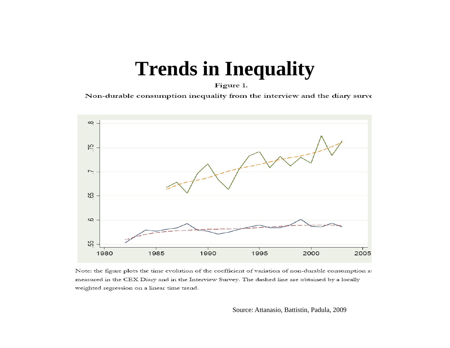### **T d i I lit Tren ds in Inequalit y**

Figure 1.

Non-durable consumption inequality from the interview and the diary surve



Note: the figure plots the time evolution of the coefficient of variation of non-durable consumption a measured in the CEX Diary and in the Interview Survey. The dashed line are obtained by a locally weighted regression on a linear time trend.

Source: Attanasio, Battistin, Padula, 2009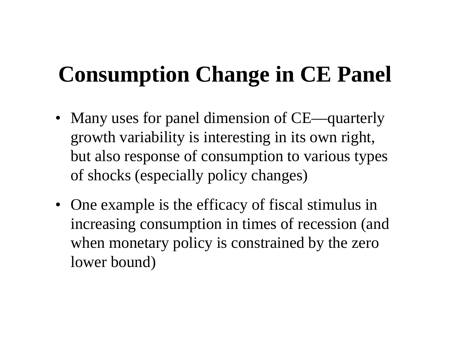### **Consumption Change in CE Panel**

- Many uses for panel dimension of CE—quarterly growth variability is interesting in its own right, but also response of consumption to various types of shocks (especially policy changes)
- One example is the efficacy of fiscal stimulus in increasing consumption in times of recession (and when monetary policy is constrained by the zero lower bound)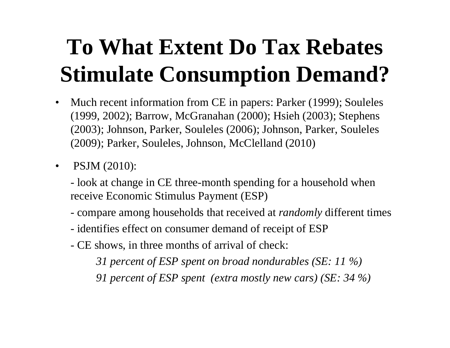### **To What Extent Do Tax Rebates Stimulate Consumption Demand?**

- $\bullet$ Much recent information from CE in papers: Parker (1999); Souleles (1999, 2002); Barrow, McGranahan (2000); Hsieh (2003); Stephens (2003); Johnson, Parker, Souleles (2006); Johnson, Parker, Souleles (2009); Parker, Souleles, Johnson, McClelland (2010)
- $\bullet$  PSJM (2010):
	- look at change in CE three-month spending for a household when receive Economic Stimulus Payment (ESP)
	- compare among households that received at *randomly* different times
	- identifies effect on consumer demand of receipt of ESP
	- CE shows, in three months of arrival of check:

*31 percent of ESP spent on broad nondurables (SE: 11 %)*

*91 p f p ( y )( ) ercent of ESP spent (extra mostly new cars ) (SE: 34 %*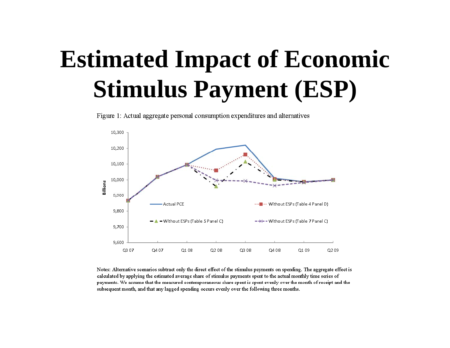# **Estimated Impact of Economic Stimulus Payment (ESP)**

10,300 10,200 10,100 10,000 Billions 9,900 **Actual PCE** Without ESPs (Table 4 Panel D) 9,800  $\blacktriangleright$   $\blacktriangle$   $\blacktriangleright$  Without ESPs (Table 5 Panel C) - \* - Without ESPs (Table 7 Panel C) 9,700 9,600 Q3 07 Q4 07 Q1 08 Q208 Q3 08 Q408 Q1 09 Q209

Figure 1: Actual aggregate personal consumption expenditures and alternatives

Notes: Alternative scenarios subtract only the direct effect of the stimulus payments on spending. The aggregate effect is calculated by applying the estimated average share of stimulus payments spent to the actual monthly time series of payments. We assume that the measured contemporaneous share spent is spent evenly over the month of receipt and the subsequent month, and that any lagged spending occurs evenly over the following three months.